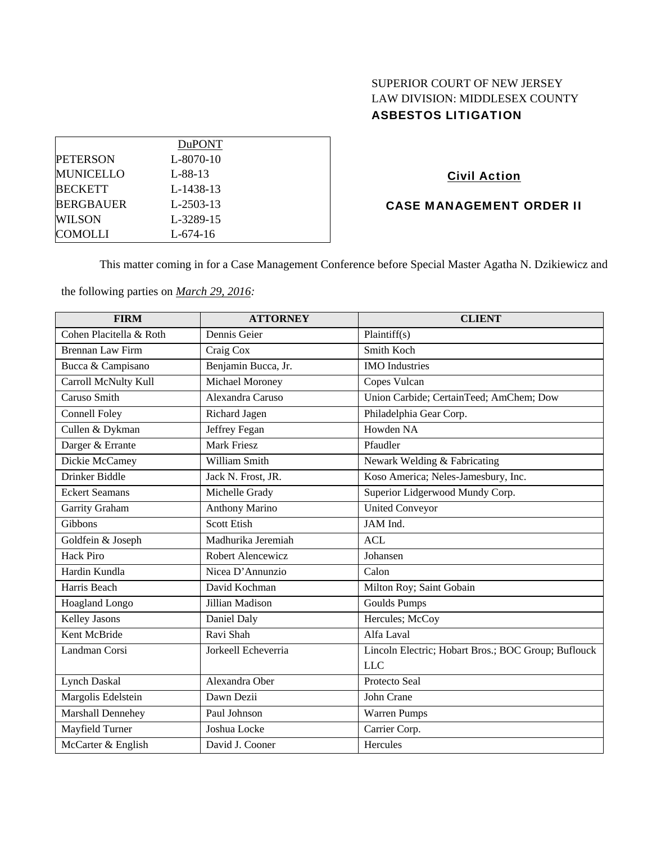# SUPERIOR COURT OF NEW JERSEY LAW DIVISION: MIDDLESEX COUNTY ASBESTOS LITIGATION

|                  | <b>DuPONT</b>   |  |
|------------------|-----------------|--|
| <b>PETERSON</b>  | $L - 8070 - 10$ |  |
| <b>MUNICELLO</b> | $L - 88 - 13$   |  |
| <b>BECKETT</b>   | L-1438-13       |  |
| <b>BERGBAUER</b> | $L-2503-13$     |  |
| <b>WILSON</b>    | L-3289-15       |  |
| COMOLLI          | $L - 674 - 16$  |  |

# Civil Action

# CASE MANAGEMENT ORDER II

This matter coming in for a Case Management Conference before Special Master Agatha N. Dzikiewicz and

the following parties on *March 29, 2016:* 

| <b>FIRM</b>             | <b>ATTORNEY</b>       | <b>CLIENT</b>                                       |
|-------------------------|-----------------------|-----------------------------------------------------|
| Cohen Placitella & Roth | Dennis Geier          | Plaintiff(s)                                        |
| <b>Brennan Law Firm</b> | Craig Cox             | Smith Koch                                          |
| Bucca & Campisano       | Benjamin Bucca, Jr.   | <b>IMO</b> Industries                               |
| Carroll McNulty Kull    | Michael Moroney       | Copes Vulcan                                        |
| Caruso Smith            | Alexandra Caruso      | Union Carbide; CertainTeed; AmChem; Dow             |
| <b>Connell Foley</b>    | Richard Jagen         | Philadelphia Gear Corp.                             |
| Cullen & Dykman         | Jeffrey Fegan         | Howden NA                                           |
| Darger & Errante        | <b>Mark Friesz</b>    | Pfaudler                                            |
| Dickie McCamey          | William Smith         | Newark Welding & Fabricating                        |
| Drinker Biddle          | Jack N. Frost, JR.    | Koso America; Neles-Jamesbury, Inc.                 |
| <b>Eckert Seamans</b>   | Michelle Grady        | Superior Lidgerwood Mundy Corp.                     |
| Garrity Graham          | <b>Anthony Marino</b> | <b>United Conveyor</b>                              |
| Gibbons                 | <b>Scott Etish</b>    | JAM Ind.                                            |
| Goldfein & Joseph       | Madhurika Jeremiah    | <b>ACL</b>                                          |
| <b>Hack Piro</b>        | Robert Alencewicz     | Johansen                                            |
| Hardin Kundla           | Nicea D'Annunzio      | Calon                                               |
| Harris Beach            | David Kochman         | Milton Roy; Saint Gobain                            |
| Hoagland Longo          | Jillian Madison       | <b>Goulds Pumps</b>                                 |
| Kelley Jasons           | Daniel Daly           | Hercules; McCoy                                     |
| Kent McBride            | Ravi Shah             | Alfa Laval                                          |
| Landman Corsi           | Jorkeell Echeverria   | Lincoln Electric; Hobart Bros.; BOC Group; Buflouck |
|                         |                       | <b>LLC</b>                                          |
| <b>Lynch Daskal</b>     | Alexandra Ober        | Protecto Seal                                       |
| Margolis Edelstein      | Dawn Dezii            | John Crane                                          |
| Marshall Dennehey       | Paul Johnson          | <b>Warren Pumps</b>                                 |
| Mayfield Turner         | Joshua Locke          | Carrier Corp.                                       |
| McCarter & English      | David J. Cooner       | Hercules                                            |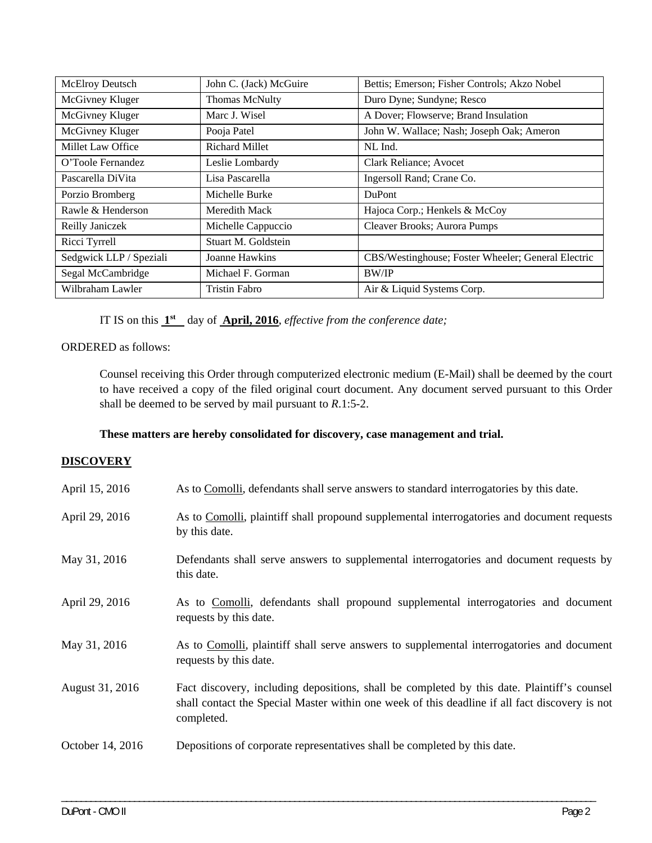| <b>McElroy Deutsch</b>  | John C. (Jack) McGuire | Bettis; Emerson; Fisher Controls; Akzo Nobel       |
|-------------------------|------------------------|----------------------------------------------------|
| McGivney Kluger         | <b>Thomas McNulty</b>  | Duro Dyne; Sundyne; Resco                          |
| McGivney Kluger         | Marc J. Wisel          | A Dover; Flowserve; Brand Insulation               |
| McGivney Kluger         | Pooja Patel            | John W. Wallace; Nash; Joseph Oak; Ameron          |
| Millet Law Office       | <b>Richard Millet</b>  | NL Ind.                                            |
| O'Toole Fernandez       | Leslie Lombardy        | Clark Reliance; Avocet                             |
| Pascarella DiVita       | Lisa Pascarella        | Ingersoll Rand; Crane Co.                          |
| Porzio Bromberg         | Michelle Burke         | <b>DuPont</b>                                      |
| Rawle & Henderson       | Meredith Mack          | Hajoca Corp.; Henkels & McCoy                      |
| Reilly Janiczek         | Michelle Cappuccio     | Cleaver Brooks; Aurora Pumps                       |
| Ricci Tyrrell           | Stuart M. Goldstein    |                                                    |
| Sedgwick LLP / Speziali | Joanne Hawkins         | CBS/Westinghouse; Foster Wheeler; General Electric |
| Segal McCambridge       | Michael F. Gorman      | <b>BW/IP</b>                                       |
| Wilbraham Lawler        | <b>Tristin Fabro</b>   | Air & Liquid Systems Corp.                         |

IT IS on this **1st** day of **April, 2016**, *effective from the conference date;*

## ORDERED as follows:

Counsel receiving this Order through computerized electronic medium (E-Mail) shall be deemed by the court to have received a copy of the filed original court document. Any document served pursuant to this Order shall be deemed to be served by mail pursuant to *R*.1:5-2.

# **These matters are hereby consolidated for discovery, case management and trial.**

### **DISCOVERY**

| April 15, 2016   | As to Comolli, defendants shall serve answers to standard interrogatories by this date.                                                                                                                     |
|------------------|-------------------------------------------------------------------------------------------------------------------------------------------------------------------------------------------------------------|
| April 29, 2016   | As to Comolli, plaintiff shall propound supplemental interrogatories and document requests<br>by this date.                                                                                                 |
| May 31, 2016     | Defendants shall serve answers to supplemental interrogatories and document requests by<br>this date.                                                                                                       |
| April 29, 2016   | As to Comolli, defendants shall propound supplemental interrogatories and document<br>requests by this date.                                                                                                |
| May 31, 2016     | As to Comolli, plaintiff shall serve answers to supplemental interrogatories and document<br>requests by this date.                                                                                         |
| August 31, 2016  | Fact discovery, including depositions, shall be completed by this date. Plaintiff's counsel<br>shall contact the Special Master within one week of this deadline if all fact discovery is not<br>completed. |
| October 14, 2016 | Depositions of corporate representatives shall be completed by this date.                                                                                                                                   |

\_\_\_\_\_\_\_\_\_\_\_\_\_\_\_\_\_\_\_\_\_\_\_\_\_\_\_\_\_\_\_\_\_\_\_\_\_\_\_\_\_\_\_\_\_\_\_\_\_\_\_\_\_\_\_\_\_\_\_\_\_\_\_\_\_\_\_\_\_\_\_\_\_\_\_\_\_\_\_\_\_\_\_\_\_\_\_\_\_\_\_\_\_\_\_\_\_\_\_\_\_\_\_\_\_\_\_\_\_\_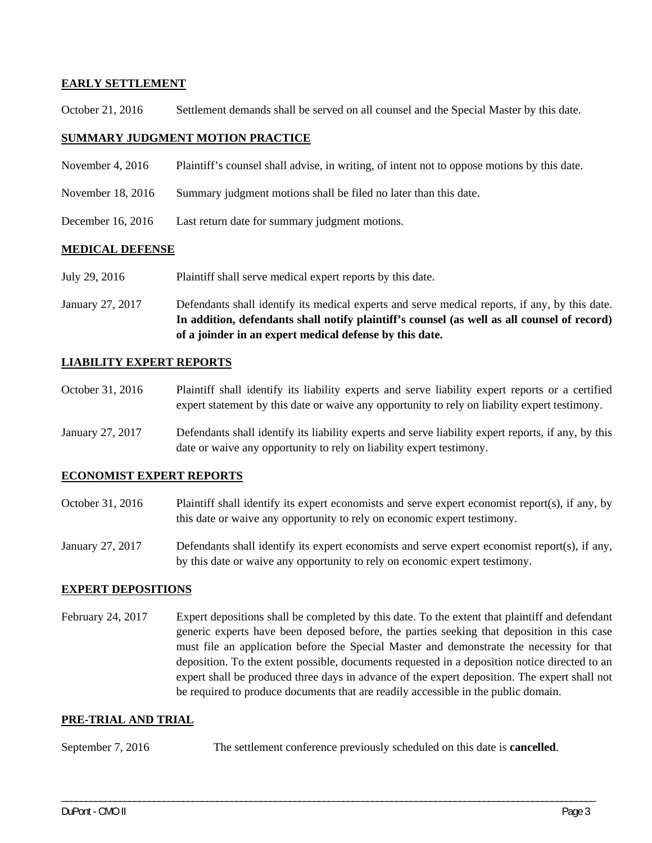## **EARLY SETTLEMENT**

October 21, 2016 Settlement demands shall be served on all counsel and the Special Master by this date.

## **SUMMARY JUDGMENT MOTION PRACTICE**

- November 4, 2016 Plaintiff's counsel shall advise, in writing, of intent not to oppose motions by this date.
- November 18, 2016 Summary judgment motions shall be filed no later than this date.
- December 16, 2016 Last return date for summary judgment motions.

### **MEDICAL DEFENSE**

- July 29, 2016 Plaintiff shall serve medical expert reports by this date.
- January 27, 2017 Defendants shall identify its medical experts and serve medical reports, if any, by this date. **In addition, defendants shall notify plaintiff's counsel (as well as all counsel of record) of a joinder in an expert medical defense by this date.**

### **LIABILITY EXPERT REPORTS**

- October 31, 2016 Plaintiff shall identify its liability experts and serve liability expert reports or a certified expert statement by this date or waive any opportunity to rely on liability expert testimony.
- January 27, 2017 Defendants shall identify its liability experts and serve liability expert reports, if any, by this date or waive any opportunity to rely on liability expert testimony.

# **ECONOMIST EXPERT REPORTS**

- October 31, 2016 Plaintiff shall identify its expert economists and serve expert economist report(s), if any, by this date or waive any opportunity to rely on economic expert testimony.
- January 27, 2017 Defendants shall identify its expert economists and serve expert economist report(s), if any, by this date or waive any opportunity to rely on economic expert testimony.

### **EXPERT DEPOSITIONS**

February 24, 2017 Expert depositions shall be completed by this date. To the extent that plaintiff and defendant generic experts have been deposed before, the parties seeking that deposition in this case must file an application before the Special Master and demonstrate the necessity for that deposition. To the extent possible, documents requested in a deposition notice directed to an expert shall be produced three days in advance of the expert deposition. The expert shall not be required to produce documents that are readily accessible in the public domain.

## **PRE-TRIAL AND TRIAL**

September 7, 2016 The settlement conference previously scheduled on this date is **cancelled**.

\_\_\_\_\_\_\_\_\_\_\_\_\_\_\_\_\_\_\_\_\_\_\_\_\_\_\_\_\_\_\_\_\_\_\_\_\_\_\_\_\_\_\_\_\_\_\_\_\_\_\_\_\_\_\_\_\_\_\_\_\_\_\_\_\_\_\_\_\_\_\_\_\_\_\_\_\_\_\_\_\_\_\_\_\_\_\_\_\_\_\_\_\_\_\_\_\_\_\_\_\_\_\_\_\_\_\_\_\_\_